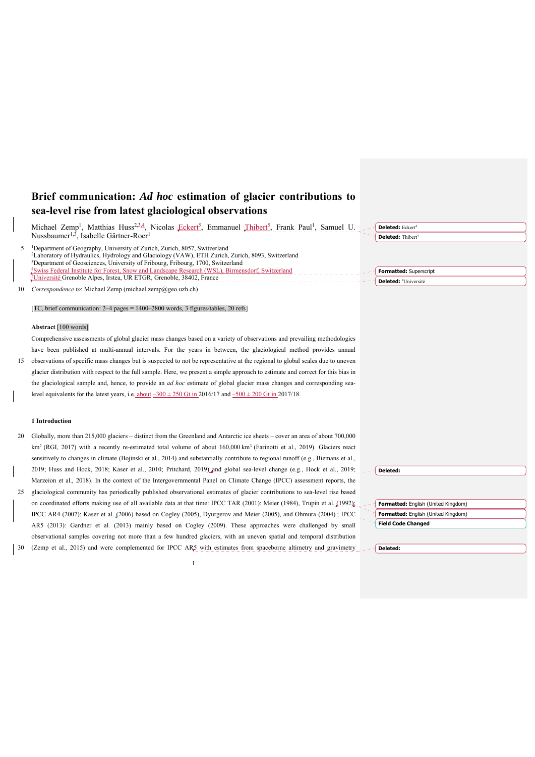# **Brief communication:** *Ad hoc* **estimation of glacier contributions to sea-level rise from latest glaciological observations**

|    | Michael Zemp <sup>1</sup> , Matthias Huss <sup>2,3,4</sup> , Nicolas Eckert <sup>5</sup> , Emmanuel Thibert <sup>5</sup> , Frank Paul <sup>1</sup> , Samuel U.<br>Nussbaumer <sup>1,3</sup> , Isabelle Gärtner-Roer <sup>1</sup>                                                                                                                                                                                                                                                                         | Deleted: Eckert <sup>4</sup><br>Deleted: Thibert <sup>4</sup> |
|----|----------------------------------------------------------------------------------------------------------------------------------------------------------------------------------------------------------------------------------------------------------------------------------------------------------------------------------------------------------------------------------------------------------------------------------------------------------------------------------------------------------|---------------------------------------------------------------|
| 5  | <sup>1</sup> Department of Geography, University of Zurich, Zurich, 8057, Switzerland<br><sup>2</sup> Laboratory of Hydraulics, Hydrology and Glaciology (VAW), ETH Zurich, Zurich, 8093, Switzerland<br><sup>3</sup> Department of Geosciences, University of Fribourg, Fribourg, 1700, Switzerland<br><sup>4</sup> Swiss Federal Institute for Forest, Snow and Landscape Research (WSL), Birmensdorf, Switzerland<br><sup>5</sup> Université Grenoble Alpes, Irstea, UR ETGR, Grenoble, 38402, France | Formatted: Superscript<br>Deleted: <sup>4</sup> Université    |
| 10 | Correspondence to: Michael Zemp (michael.zemp@geo.uzh.ch)                                                                                                                                                                                                                                                                                                                                                                                                                                                |                                                               |
|    | [TC, brief communication: 2–4 pages = 1400–2800 words, 3 figures/tables, 20 refs]                                                                                                                                                                                                                                                                                                                                                                                                                        |                                                               |
|    | Abstract [100 words]                                                                                                                                                                                                                                                                                                                                                                                                                                                                                     |                                                               |
|    | Comprehensive assessments of global glacier mass changes based on a variety of observations and prevailing methodologies                                                                                                                                                                                                                                                                                                                                                                                 |                                                               |
|    | have been published at multi-annual intervals. For the years in between, the glaciological method provides annual                                                                                                                                                                                                                                                                                                                                                                                        |                                                               |
| 15 | observations of specific mass changes but is suspected to not be representative at the regional to global scales due to uneven                                                                                                                                                                                                                                                                                                                                                                           |                                                               |
|    | glacier distribution with respect to the full sample. Here, we present a simple approach to estimate and correct for this bias in                                                                                                                                                                                                                                                                                                                                                                        |                                                               |
|    | the glaciological sample and, hence, to provide an <i>ad hoc</i> estimate of global glacier mass changes and corresponding sea-                                                                                                                                                                                                                                                                                                                                                                          |                                                               |
|    | level equivalents for the latest years, i.e. about $-300 \pm 250$ Gt in $2016/17$ and $-500 \pm 200$ Gt in $2017/18$ .                                                                                                                                                                                                                                                                                                                                                                                   |                                                               |
|    |                                                                                                                                                                                                                                                                                                                                                                                                                                                                                                          |                                                               |
|    | 1 Introduction                                                                                                                                                                                                                                                                                                                                                                                                                                                                                           |                                                               |
| 20 | Globally, more than $215,000$ glaciers – distinct from the Greenland and Antarctic ice sheets – cover an area of about 700,000                                                                                                                                                                                                                                                                                                                                                                           |                                                               |
|    | $km^2$ (RGI, 2017) with a recently re-estimated total volume of about 160,000 km <sup>3</sup> (Farinotti et al., 2019). Glaciers react                                                                                                                                                                                                                                                                                                                                                                   |                                                               |
|    | sensitively to changes in climate (Bojinski et al., 2014) and substantially contribute to regional runoff (e.g., Biemans et al.,                                                                                                                                                                                                                                                                                                                                                                         |                                                               |
|    | 2019; Huss and Hock, 2018; Kaser et al., 2010; Pritchard, 2019) and global sea-level change (e.g., Hock et al., 2019;                                                                                                                                                                                                                                                                                                                                                                                    | Deleted:                                                      |
|    | Marzeion et al., 2018). In the context of the Intergovernmental Panel on Climate Change (IPCC) assessment reports, the                                                                                                                                                                                                                                                                                                                                                                                   |                                                               |
| 25 | glaciological community has periodically published observational estimates of glacier contributions to sea-level rise based                                                                                                                                                                                                                                                                                                                                                                              |                                                               |
|    | on coordinated efforts making use of all available data at that time: IPCC TAR (2001): Meier (1984), Trupin et al. (1992);                                                                                                                                                                                                                                                                                                                                                                               | Formatted: English (United Kingdom)                           |
|    | IPCC AR4 (2007): Kaser et al. (2006) based on Cogley (2005), Dyurgerov and Meier (2005), and Ohmura (2004); IPCC                                                                                                                                                                                                                                                                                                                                                                                         | Formatted: English (United Kingdom)                           |
|    | AR5 (2013): Gardner et al. (2013) mainly based on Cogley (2009). These approaches were challenged by small                                                                                                                                                                                                                                                                                                                                                                                               | <b>Field Code Changed</b>                                     |
|    | observational samples covering not more than a few hundred glaciers, with an uneven spatial and temporal distribution                                                                                                                                                                                                                                                                                                                                                                                    |                                                               |
| 30 | (Zemp et al., 2015) and were complemented for IPCC AR5 with estimates from spaceborne altimetry and gravimetry                                                                                                                                                                                                                                                                                                                                                                                           | Deleted:                                                      |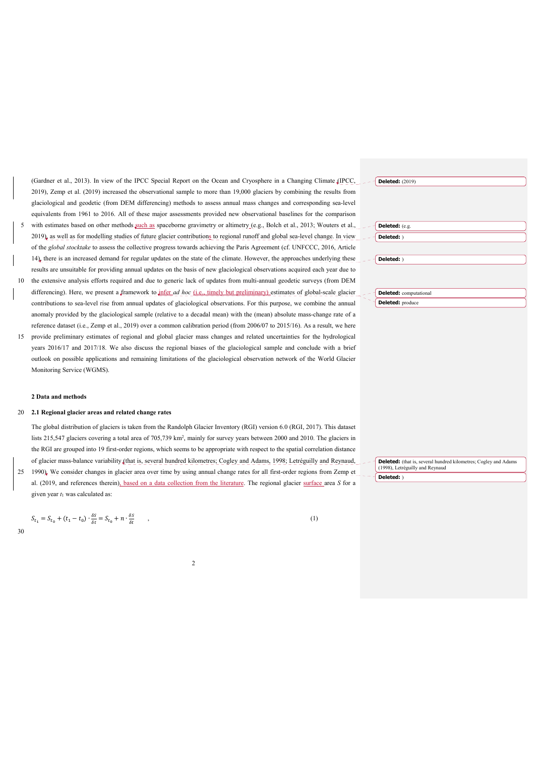(Gardner et al., 2013). In view of the IPCC Special Report on the Ocean and Cryosphere in a Changing Climate (IPCC, 2019), Zemp et al. (2019) increased the observational sample to more than 19,000 glaciers by combining the results from glaciological and geodetic (from DEM differencing) methods to assess annual mass changes and corresponding sea-level equivalents from 1961 to 2016. All of these major assessments provided new observational baselines for the comparison with estimates based on other methods such as spaceborne gravimetry or altimetry (e.g., Bolch et al., 2013; Wouters et al., 2019), as well as for modelling studies of future glacier contributions to regional runoff and global sea-level change. In view of the *global stocktake* to assess the collective progress towards achieving the Paris Agreement (cf. UNFCCC, 2016, Article

14), there is an increased demand for regular updates on the state of the climate. However, the approaches underlying these results are unsuitable for providing annual updates on the basis of new glaciological observations acquired each year due to

- 10 the extensive analysis efforts required and due to generic lack of updates from multi-annual geodetic surveys (from DEM differencing). Here, we present a framework to infer *ad hoc* (i.e., timely but preliminary) estimates of global-scale glacier contributions to sea-level rise from annual updates of glaciological observations. For this purpose, we combine the annual anomaly provided by the glaciological sample (relative to a decadal mean) with the (mean) absolute mass-change rate of a reference dataset (i.e., Zemp et al., 2019) over a common calibration period (from 2006/07 to 2015/16). As a result, we here
- 15 provide preliminary estimates of regional and global glacier mass changes and related uncertainties for the hydrological years 2016/17 and 2017/18. We also discuss the regional biases of the glaciological sample and conclude with a brief outlook on possible applications and remaining limitations of the glaciological observation network of the World Glacier Monitoring Service (WGMS).

### **2 Data and methods**

#### 20 **2.1 Regional glacier areas and related change rates**

The global distribution of glaciers is taken from the Randolph Glacier Inventory (RGI) version 6.0 (RGI, 2017). This dataset lists 215,547 glaciers covering a total area of 705,739 km<sup>2</sup>, mainly for survey years between 2000 and 2010. The glaciers in the RGI are grouped into 19 first-order regions, which seems to be appropriate with respect to the spatial correlation distance of glacier mass-balance variability (that is, several hundred kilometres; Cogley and Adams, 1998; Letréguilly and Reynaud, 25 1990). We consider changes in glacier area over time by using annual change rates for all first-order regions from Zemp et al. (2019, and references therein), based on a data collection from the literature. The regional glacier surface area *S* for a given year *t*1 was calculated as:

$$
S_{t_1} = S_{t_0} + (t_1 - t_0) \cdot \frac{\delta S}{\delta t} = S_{t_0} + n \cdot \frac{\delta S}{\delta t} \tag{1}
$$

| <b>Deleted:</b> (2019)        |  |
|-------------------------------|--|
|                               |  |
|                               |  |
|                               |  |
|                               |  |
|                               |  |
| Deleted: (e.g.                |  |
|                               |  |
| Deleted: )                    |  |
|                               |  |
|                               |  |
|                               |  |
| Deleted: )                    |  |
|                               |  |
|                               |  |
|                               |  |
|                               |  |
|                               |  |
| <b>Deleted:</b> computational |  |
| Deleted: produce              |  |

**Deleted:** (that is, several hundred kilometres; Cogley and Adams (1998), Letréguilly and Reynaud **Deleted:** )

$$
30\,
$$

 $\overline{\phantom{a}}$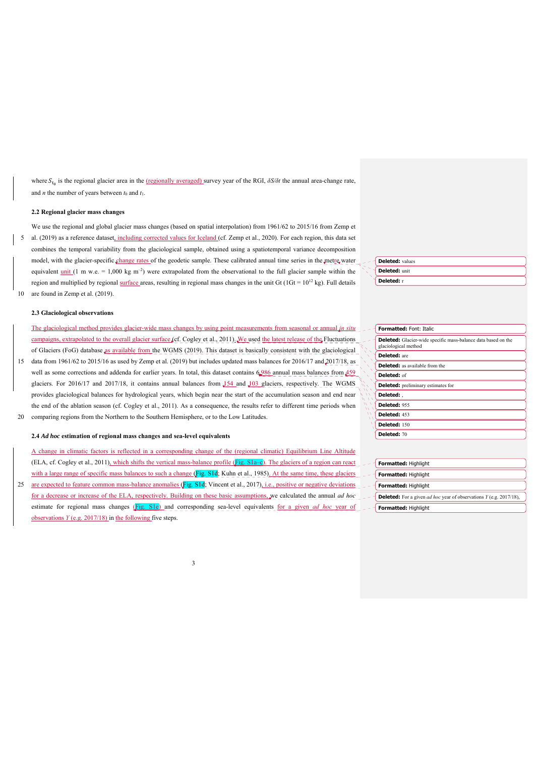where *S*<sub>t<sub>0</sub></sub> is the regional glacier area in the (regionally averaged) survey year of the RGI, *δS/* $δt$  the annual area-change rate, and *n* the number of years between  $t_0$  and  $t_1$ .

# **2.2 Regional glacier mass changes**

We use the regional and global glacier mass changes (based on spatial interpolation) from 1961/62 to 2015/16 from Zemp et 5 al. (2019) as a reference dataset, including corrected values for Iceland (cf. Zemp et al., 2020). For each region, this data set combines the temporal variability from the glaciological sample, obtained using a spatiotemporal variance decomposition model, with the glacier-specific change rates of the geodetic sample. These calibrated annual time series in the metre water equivalent <u>unit</u> (1 m w.e. = 1,000 kg m<sup>-2</sup>) were extrapolated from the observational to the full glacier sample within the region and multiplied by regional surface areas, resulting in regional mass changes in the unit Gt  $(1Gt = 10^{12} \text{ kg})$ . Full details 10 are found in Zemp et al. (2019).

# **2.3 Glaciological observations**

The glaciological method provides glacier-wide mass changes by using point measurements from seasonal or annual *in situ* campaigns, extrapolated to the overall glacier surface (cf. Cogley et al., 2011). We used the latest release of the Fluctuations of Glaciers (FoG) database as available from the WGMS (2019). This dataset is basically consistent with the glaciological 15 data from 1961/62 to 2015/16 as used by Zemp et al. (2019) but includes updated mass balances for 2016/17 and 2017/18, as well as some corrections and addenda for earlier years. In total, this dataset contains 6,986 annual mass balances from 459 glaciers. For 2016/17 and 2017/18, it contains annual balances from  $154$  and  $103$  glaciers, respectively. The WGMS

provides glaciological balances for hydrological years, which begin near the start of the accumulation season and end near the end of the ablation season (cf. Cogley et al., 2011). As a consequence, the results refer to different time periods when 20 comparing regions from the Northern to the Southern Hemisphere, or to the Low Latitudes.

#### **2.4** *Ad hoc* **estimation of regional mass changes and sea-level equivalents**

A change in climatic factors is reflected in a corresponding change of the (regional climatic) Equilibrium Line Altitude (ELA, cf. Cogley et al., 2011), which shifts the vertical mass-balance profile ( $\overline{Fig. S1a-e}$ ). The glaciers of a region can react with a large range of specific mass balances to such a change  $(Fig. S1d; Kuhn et al., 1985)$ . At the same time, these glaciers

25 are expected to feature common mass-balance anomalies (Fig. S1d; Vincent et al., 2017), i.e., positive or negative deviations for a decrease or increase of the ELA, respectively. Building on these basic assumptions, we calculated the annual *ad hoc* estimate for regional mass changes (Fig. S1e) and corresponding sea-level equivalents for a given *ad hoc* year of observations *Y* (e.g. 2017/18) in the following five steps.

| ᅴ | <b>Deleted:</b> values |
|---|------------------------|
|   | <b>Deleted:</b> unit   |
|   | Deleted: r             |

| <b>Formatted: Font: Italic</b>                                                        |
|---------------------------------------------------------------------------------------|
| Deleted: Glacier-wide specific mass-balance data based on the<br>glaciological method |
| <b>Deleted:</b> are                                                                   |
| <b>Deleted:</b> as available from the                                                 |
| Deleted: of                                                                           |
| <b>Deleted:</b> preliminary estimates for                                             |
| Deleted: .                                                                            |
| Deleted: 955                                                                          |
| Deleted: 453                                                                          |
| <b>Deleted: 150</b>                                                                   |
| Deleted: 70                                                                           |
|                                                                                       |

| $-$ - Formatted: Highlight                                                                                       |
|------------------------------------------------------------------------------------------------------------------|
| $-$ - $\overline{\phantom{a}}$ <b>Formatted:</b> Highlight                                                       |
| $-$ - $\overline{\phantom{a}}$ <b>Formatted:</b> Highlight                                                       |
| $\mathcal{L}$ – $\mathcal{L}$ <b>Deleted:</b> For a given <i>ad hoc</i> year of observations $Y$ (e.g. 2017/18), |
| -- Formatted: Highlight                                                                                          |

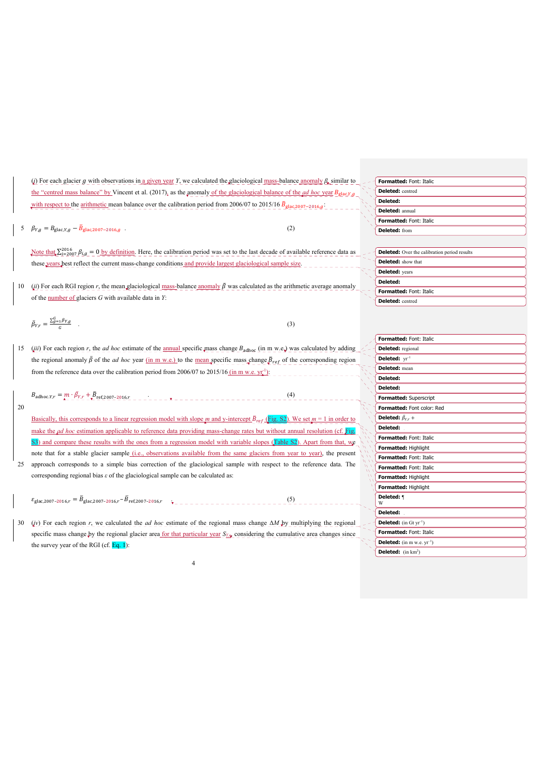|    | ( <i>i</i> ) For each glacier g with observations in <u>a given year</u> Y, we calculated the glaciological mass-balance anomaly $\beta$ similar to        | Formatted: Font: Italic                             |
|----|------------------------------------------------------------------------------------------------------------------------------------------------------------|-----------------------------------------------------|
|    | the "centred mass balance" by Vincent et al. (2017), as the anomaly of the glaciological balance of the <i>ad hoc</i> year $B_{\text{glac},Y,g}$           | Deleted: centred                                    |
|    | with respect to the arithmetic mean balance over the calibration period from 2006/07 to 2015/16 $\bar{B}_{\text{glac},2007-2016,d}$ .                      | Deleted:                                            |
|    |                                                                                                                                                            | <b>Deleted:</b> annual                              |
|    |                                                                                                                                                            | Formatted: Font: Italic                             |
|    | 5 $\beta_{Y,g} = B_{\text{glac},Y,g} - \bar{B}_{\text{glac},2007-2016,g}$ .<br>(2)                                                                         | <b>Deleted:</b> from                                |
|    |                                                                                                                                                            |                                                     |
|    | Note that $\Sigma_{i=2007}^{2016}$ $\beta_{i,g} = 0$ by definition. Here, the calibration period was set to the last decade of available reference data as | <b>Deleted:</b> Over the calibration period results |
|    | these years best reflect the current mass-change conditions and provide largest glaciological sample size.                                                 | <b>Deleted:</b> show that                           |
|    |                                                                                                                                                            | <b>Deleted:</b> years                               |
|    | (ii) For each RGI region r, the mean glaciological mass-balance anomaly $\bar{\beta}$ was calculated as the arithmetic average anomaly                     | Deleted:                                            |
| 10 |                                                                                                                                                            | <b>Formatted: Font: Italic</b>                      |
|    | of the number of glaciers $G$ with available data in $Y$ :                                                                                                 | Deleted: centred                                    |
|    |                                                                                                                                                            |                                                     |
|    | $\bar{\beta}_{Y,r} = \frac{\sum_{g=1}^{G} \beta_{Y,g}}{G}$<br>(3)                                                                                          |                                                     |
|    |                                                                                                                                                            |                                                     |
|    |                                                                                                                                                            | Formatted: Font: Italic                             |
| 15 | (iii) For each region r, the <i>ad hoc</i> estimate of the annual specific mass change $B_{adhoc}$ (in m w.e.) was calculated by adding                    | <b>Deleted:</b> regional                            |
|    | the regional anomaly $\bar{\beta}$ of the <i>ad hoc</i> year (in m w.e.) to the mean specific mass change $\bar{p}_{ref}$ of the corresponding region      | Deleted: $vr^{-1}$                                  |
|    | from the reference data over the calibration period from 2006/07 to 2015/16 (in m w.e. $yr_i^{-1}$ ):                                                      | <b>Deleted:</b> mean                                |
|    |                                                                                                                                                            | Deleted:                                            |
|    |                                                                                                                                                            | Deleted:                                            |
|    | $B_{\text{adhoc}.Y,r} = m \cdot \bar{\beta}_{Y,r} + \bar{B}_{\text{ref},2007-2016,r}$<br>(4)                                                               | Formatted: Superscript                              |
| 20 |                                                                                                                                                            | Formatted: Font color: Red                          |
|    | Basically, this corresponds to a linear regression model with slope m and y-intercept $\bar{B}_{ref}$ (Fig. S2). We set $m = 1$ in order to                | <b>Deleted:</b> $\bar{\beta}_{Yr}$ +                |
|    | make the $\mu d$ hoc estimation applicable to reference data providing mass-change rates but without annual resolution (cf. Fig.                           | Deleted:                                            |
|    | S3) and compare these results with the ones from a regression model with variable slopes (Table S2). Apart from that, we                                   | <b>Formatted: Font: Italic</b>                      |
|    | note that for a stable glacier sample (i.e., observations available from the same glaciers from year to year), the present                                 | Formatted: Highlight                                |
|    |                                                                                                                                                            | Formatted: Font: Italic                             |
| 25 | approach corresponds to a simple bias correction of the glaciological sample with respect to the reference data. The                                       | Formatted: Font: Italic                             |
|    | corresponding regional bias $\varepsilon$ of the glaciological sample can be calculated as:                                                                | Formatted: Highlight                                |
|    |                                                                                                                                                            | Formatted: Highlight                                |
|    | $\varepsilon_{\text{glac},2007-2016,r} = \bar{B}_{\text{glac},2007-2016,r} - \bar{B}_{\text{ref},2007-2016,r}$<br>(5)                                      | Deleted: ¶                                          |
|    |                                                                                                                                                            | Deleted:                                            |
| 30 | (iv) For each region r, we calculated the <i>ad hoc</i> estimate of the regional mass change $\Delta M$ by multiplying the regional                        | <b>Deleted:</b> (in $\text{Gt yr}^{-1}$ )           |
|    | specific mass change by the regional glacier area for that particular year $S_{\chi_{\psi}}$ considering the cumulative area changes since                 | Formatted: Font: Italic                             |
|    | the survey year of the RGI (cf. $Eq. 1$ ):                                                                                                                 | <b>Deleted:</b> (in m w.e. $yr^{-1}$ )              |
|    |                                                                                                                                                            | <b>Deleted:</b> $(in km2)$                          |
|    | 4                                                                                                                                                          |                                                     |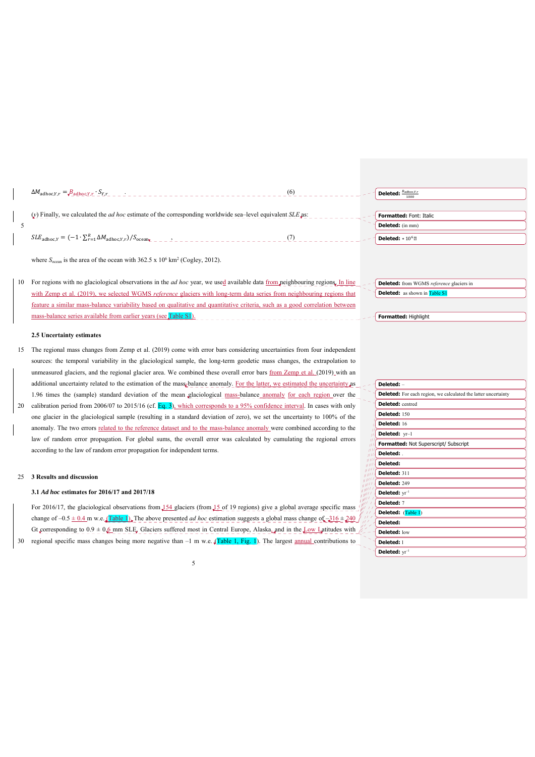| $\Delta M_{\text{adhoc},Y,r} = \frac{B_{\text{adhoc},Y,r}}{r}$ $S_{Y,r}$ $S_{Y,r}$ $S_{Y,r}$ $S_{Y,r}$ $S_{Y,r}$ $S_{Y,r}$ $S_{Y,r}$ $S_{Y,r}$ $S_{Y,r}$ $S_{Y,r}$ $S_{Y,r}$ $S_{Y,r}$ $S_{Y,r}$ $S_{Y,r}$ $S_{Y,r}$ $S_{Y,r}$ $S_{Y,r}$ $S_{Y,r}$ $S_{Y,r}$ $S_{Y,r}$ $S_{Y,r}$ $S_{Y,r}$ $S_{Y,r}$ $S$ |  |
|----------------------------------------------------------------------------------------------------------------------------------------------------------------------------------------------------------------------------------------------------------------------------------------------------------|--|
|                                                                                                                                                                                                                                                                                                          |  |
| (v) Finally, we calculated the <i>ad hoc</i> estimate of the corresponding worldwide sea-level equivalent <i>SLE</i> as:                                                                                                                                                                                 |  |
|                                                                                                                                                                                                                                                                                                          |  |

 $SLE_{\text{adhoc}, Y} = (-1 \cdot \sum_{r=1}^{R} \Delta M_{\text{adhoc}, Y, r}) / S_{\text{ocean}_{\text{KL}}}$ 

where  $S_{\text{ocean}}$  is the area of the ocean with  $362.5 \times 10^6 \text{ km}^2$  (Cogley, 2012).

10 For regions with no glaciological observations in the *ad hoc* year, we used available data from neighbouring regions. In line with Zemp et al. (2019), we selected WGMS *reference* glaciers with long-term data series from neighbouring regions that feature a similar mass-balance variability based on qualitative and quantitative criteria, such as a good correlation between mass-balance series available from earlier years (see Table S1).

#### **2.5 Uncertainty estimates**

5

- 15 The regional mass changes from Zemp et al. (2019) come with error bars considering uncertainties from four independent sources: the temporal variability in the glaciological sample, the long-term geodetic mass changes, the extrapolation to unmeasured glaciers, and the regional glacier area. We combined these overall error bars from Zemp et al. (2019) with an additional uncertainty related to the estimation of the mass-balance anomaly. For the latter, we estimated the uncertainty as 1.96 times the (sample) standard deviation of the mean glaciological mass-balance anomaly for each region over the
- 20 calibration period from 2006/07 to 2015/16 (cf. Eq. 3), which corresponds to a 95% confidence interval. In cases with only one glacier in the glaciological sample (resulting in a standard deviation of zero), we set the uncertainty to 100% of the anomaly. The two errors related to the reference dataset and to the mass-balance anomaly were combined according to the law of random error propagation. For global sums, the overall error was calculated by cumulating the regional errors according to the law of random error propagation for independent terms.

# 25 **3 Results and discussion**

#### **3.1** *Ad hoc* **estimates for 2016/17 and 2017/18**

For 2016/17, the glaciological observations from  $\frac{154 \text{ g} \cdot 15}{24 \text{ g} \cdot 15}$  of 19 regions) give a global average specific mass change of  $-0.5 \pm 0.4$  m w.e.  $\sqrt{\text{Table 1}}$ . The above presented *ad hoc* estimation suggests a global mass change of  $-316 \pm 240$ Gt corresponding to  $0.9 \pm 0.6$  mm SLE. Glaciers suffered most in Central Europe, Alaska, and in the Low Latitudes with  $\beta$ 30 regional specific mass changes being more negative than  $-1$  m w.e.  $(Table 1, Fig. 1)$ . The largest annual contributions to

5

| Deleted: $\frac{B_{\text{adhoc,Y,r}}}{B_{\text{adhoc,Y,r}}}$ |      |
|--------------------------------------------------------------|------|
|                                                              | 1000 |

**Formatted:** Font: Italic **Deleted:** (in mm)

**Deleted:** ∗ 10

**Deleted:** from WGMS *reference* glaciers in **Deleted:** as shown in Table S1

**Formatted:** Highlight

| Deleted: -                |                                                                       |
|---------------------------|-----------------------------------------------------------------------|
|                           | <b>Deleted:</b> For each region, we calculated the latter uncertainty |
| Deleted: centred          |                                                                       |
| Deleted: 150              |                                                                       |
| Deleted: 16               |                                                                       |
| Deleted: yr-1             |                                                                       |
|                           | Formatted: Not Superscript/ Subscript                                 |
| Deleted: .                |                                                                       |
| Deleted:                  |                                                                       |
| Deleted: 311              |                                                                       |
| Deleted: 249              |                                                                       |
| Deleted: yr <sup>-1</sup> |                                                                       |
| Deleted: 7                |                                                                       |
|                           | Deleted: (Table 1)                                                    |
| Deleted:                  |                                                                       |
| Deleted: low              |                                                                       |
| Deleted: 1                |                                                                       |
| Deleted: $vr^{-1}$        |                                                                       |
|                           |                                                                       |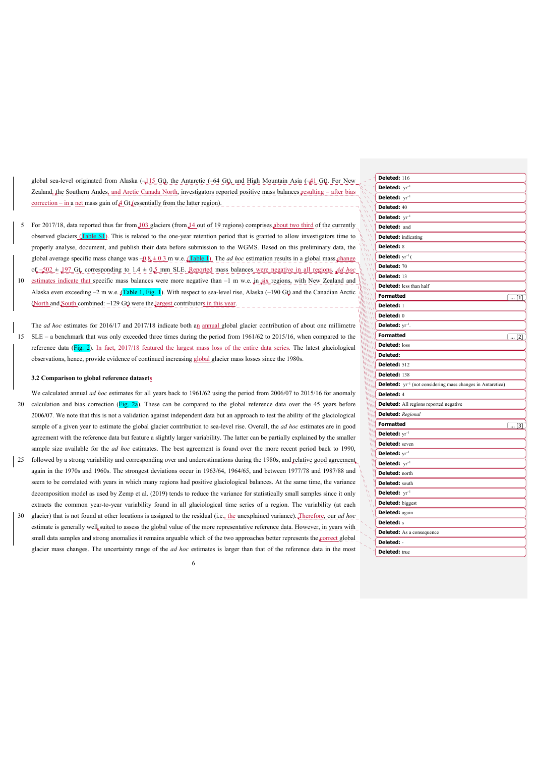global sea-level originated from Alaska ( $-115$  Gt), the Antarctic (-64 Gt), and High Mountain Asia ( $-41$  Gt). For New Zealand, the Southern Andes, and Arctic Canada North, investigators reported positive mass balances resulting – after bias  $\frac{\text{correction} - \text{in}}{\text{a net mass gain of}} = \frac{4 \text{ Gt}}{\text{c} \cdot \text{c}}$  (essentially from the latter region).

- 5 For 2017/18, data reported thus far from 103 glaciers (from 14 out of 19 regions) comprises about two third of the currently observed glaciers (Table S1). This is related to the one-year retention period that is granted to allow investigators time to properly analyse, document, and publish their data before submission to the WGMS. Based on this preliminary data, the global average specific mass change was  $-0.8 \pm 0.3$  m w.e.  $\sqrt{\text{Table 1}}$ . The *ad hoc* estimation results in a global mass change of  $-502 \pm 197$  Gt, corresponding to  $1.4 \pm 0.5$  mm SLE. Reported mass balances were negative in all regions. *Ad hoc*
- 10 estimates indicate that specific mass balances were more negative than -1 m w.e. in six regions, with New Zealand and Alaska even exceeding  $-2$  m w.e. (Table 1, Fig. 1). With respect to sea-level rise, Alaska ( $-190$  Gt) and the Canadian Arctic (North and South combined: –129 Gt) were the largest contributors in this year.
- The *ad hoc* estimates for 2016/17 and 2017/18 indicate both an annual global glacier contribution of about one millimetre 15 SLE – a benchmark that was only exceeded three times during the period from 1961/62 to 2015/16, when compared to the reference data (Fig. 2). In fact, 2017/18 featured the largest mass loss of the entire data series. The latest glaciological observations, hence, provide evidence of continued increasing global glacier mass losses since the 1980s.

## **3.2 Comparison to global reference datasets**

We calculated annual *ad hoc* estimates for all years back to 1961/62 using the period from 2006/07 to 2015/16 for anomaly 20 calculation and bias correction (Fig. 2a). These can be compared to the global reference data over the 45 years before 2006/07. We note that this is not a validation against independent data but an approach to test the ability of the glaciological sample of a given year to estimate the global glacier contribution to sea-level rise. Overall, the *ad hoc* estimates are in good agreement with the reference data but feature a slightly larger variability. The latter can be partially explained by the smaller

25 followed by a strong variability and corresponding over and underestimations during the 1980s, and relative good agreement. again in the 1970s and 1960s. The strongest deviations occur in 1963/64, 1964/65, and between 1977/78 and 1987/88 and seem to be correlated with years in which many regions had positive glaciological balances. At the same time, the variance decomposition model as used by Zemp et al. (2019) tends to reduce the variance for statistically small samples since it only extracts the common year-to-year variability found in all glaciological time series of a region. The variability (at each

sample size available for the *ad hoc* estimates. The best agreement is found over the more recent period back to 1990,

30 glacier) that is not found at other locations is assigned to the residual (i.e., the unexplained variance). Therefore, our *ad hoc* estimate is generally well suited to assess the global value of the more representative reference data. However, in years with small data samples and strong anomalies it remains arguable which of the two approaches better represents the correct global glacier mass changes. The uncertainty range of the *ad hoc* estimates is larger than that of the reference data in the most

| ٧       |   |  |
|---------|---|--|
|         | I |  |
| ×<br>۰, | I |  |

|                                              | <b>Deleted: 116</b>                                                           |              |
|----------------------------------------------|-------------------------------------------------------------------------------|--------------|
|                                              | Deleted: yr <sup>-1</sup>                                                     |              |
|                                              | Deleted: yr <sup>-1</sup>                                                     |              |
| is<br>As<br>$\ddot{\phantom{0}}$             | Deleted: 40                                                                   |              |
| W                                            | <b>Deleted:</b> $yr^{-1}$                                                     |              |
| W                                            | Deleted: and                                                                  |              |
| Ñ                                            | <b>Deleted:</b> indicating                                                    |              |
| w<br>W                                       | Deleted: 8                                                                    |              |
| W١<br>٧                                      | Deleted: $yr^{-1}$ (                                                          |              |
|                                              | Deleted: 70                                                                   |              |
| M                                            | Deleted: 13                                                                   |              |
| MЛ<br>WИ                                     | <b>Deleted:</b> less than half                                                |              |
| WИ<br>un i                                   | <b>Formatted</b>                                                              | $\ldots$ [1] |
| $\sqrt{m}$<br><b>ALTITY</b>                  | Deleted: 1                                                                    |              |
| <b>WILL</b><br>nn nn<br><b>MAIL LA</b>       | Deleted: 0                                                                    |              |
| <b>MALLA</b><br><b>MARLEY</b>                | Deleted: yr <sup>-1</sup> .                                                   |              |
| <b>CHANN</b><br><b>UNITE</b>                 | <b>Formatted</b>                                                              | [2]          |
| <b>MILLI</b><br>$\mu^{\mu\mu\tau}$           | Deleted: loss                                                                 |              |
| <b>GRAHA</b><br><b>Million</b>               | Deleted:                                                                      |              |
| www<br><b>MARTIN</b>                         | Deleted: 512                                                                  |              |
| <b>SANNA</b><br><b><i>Allin</i></b>          | Deleted: 138                                                                  |              |
| <b>ANNIS</b><br><b>ANNIN</b>                 | <b>Deleted:</b> yr <sup>-1</sup> (not considering mass changes in Antarctica) |              |
| <b><i><u>Altind</u></i></b><br><b>WILLIA</b> | Deleted: 4                                                                    |              |
| <b>MANI</b>                                  | <b>Deleted:</b> All regions reported negative                                 |              |
|                                              | <b>Deleted:</b> Regional                                                      |              |
|                                              | <b>Formatted</b>                                                              | $\dots$ [3]  |
|                                              | <b>Deleted:</b> $yr^{-1}$                                                     |              |
|                                              | <b>M<sub>III</sub></b> Deleted: seven                                         |              |
|                                              |                                                                               |              |
|                                              | $\frac{\frac{d}{d}f(x)}{d}$ Deleted: $yr^{-1}$                                |              |
|                                              | <b>Deleted:</b> north                                                         |              |
| W<br>W                                       | Deleted: south<br>$\int$ Deleted: $yr^{-1}$                                   |              |
|                                              | Deleted: biggest                                                              |              |
|                                              |                                                                               |              |
|                                              | Deleted: again<br>Deleted: s                                                  |              |
|                                              | <b>Deleted:</b> As a consequence                                              |              |
|                                              | Deleted: -                                                                    |              |
|                                              | Deleted: true                                                                 |              |
|                                              |                                                                               |              |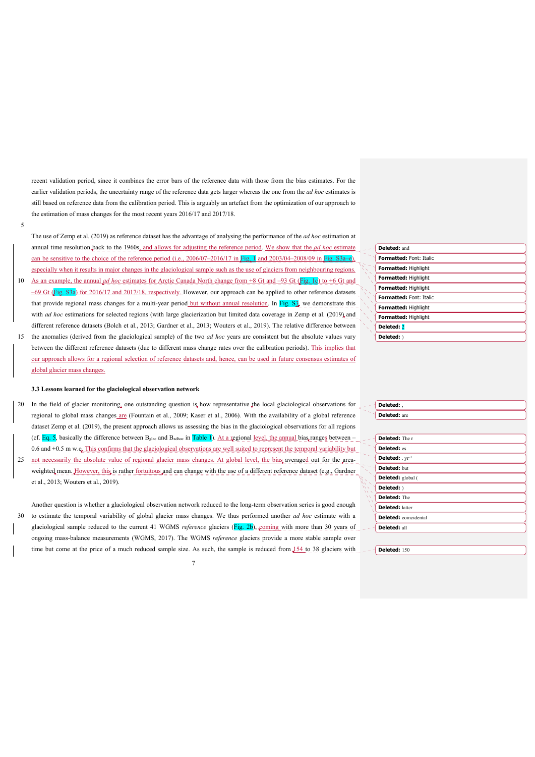recent validation period, since it combines the error bars of the reference data with those from the bias estimates. For the earlier validation periods, the uncertainty range of the reference data gets larger whereas the one from the *ad hoc* estimates is still based on reference data from the calibration period. This is arguably an artefact from the optimization of our approach to the estimation of mass changes for the most recent years 2016/17 and 2017/18.

5

The use of Zemp et al. (2019) as reference dataset has the advantage of analysing the performance of the *ad hoc* estimation at annual time resolution back to the 1960s, and allows for adjusting the reference period. We show that the *ad hoc* estimate can be sensitive to the choice of the reference period (i.e.,  $2006/07-2016/17$  in Fig. 1 and  $2003/04-2008/09$  in Fig. S3a-e) especially when it results in major changes in the glaciological sample such as the use of glaciers from neighbouring regions.

- 10 As an example, the annual *ad hoc* estimates for Arctic Canada North change from  $+8$  Gt and  $-93$  Gt (**Fig. 1c**) to  $+6$  Gt and –69 Gt (Fig. S3a) for 2016/17 and 2017/18, respectively. However, our approach can be applied to other reference datasets that provide regional mass changes for a multi-year period but without annual resolution. In Fig. S3, we demonstrate this with *ad hoc* estimations for selected regions (with large glacierization but limited data coverage in Zemp et al. (2019) and different reference datasets (Bolch et al., 2013; Gardner et al., 2013; Wouters et al., 2019). The relative difference between
- 15 the anomalies (derived from the glaciological sample) of the two *ad hoc* years are consistent but the absolute values vary between the different reference datasets (due to different mass change rates over the calibration periods). This implies that our approach allows for a regional selection of reference datasets and, hence, can be used in future consensus estimates of global glacier mass changes.

## **3.3 Lessons learned for the glaciological observation network**

20 In the field of glacier monitoring, one outstanding question is how representative the local glaciological observations for regional to global mass changes are (Fountain et al., 2009; Kaser et al., 2006). With the availability of a global reference dataset Zemp et al. (2019), the present approach allows us assessing the bias in the glaciological observations for all regions (cf. Eq. 5, basically the difference between  $B_{\text{glac}}$  and  $B_{\text{adhoc}}$  in Table 1). At a regional <u>level, the annual bias ranges</u> between –

0.6 and +0.5 m w.e. This confirms that the glaciological observations are well suited to represent the temporal variability but 25 not necessarily the absolute value of regional glacier mass changes. At global level, the bias averaged out for the areaweighted mean. However, this is rather fortuitous and can change with the use of a different reference dataset (e.g., Gardner et al., 2013; Wouters et al., 2019).

Another question is whether a glaciological observation network reduced to the long-term observation series is good enough 30 to estimate the temporal variability of global glacier mass changes. We thus performed another *ad hoc* estimate with a glaciological sample reduced to the current 41 WGMS *reference* glaciers (Fig. 2b), coming with more than 30 years of ongoing mass-balance measurements (WGMS, 2017). The WGMS *reference* glaciers provide a more stable sample over time but come at the price of a much reduced sample size. As such, the sample is reduced from  $\frac{154}{154}$  to 38 glaciers with

7

| Deleted: and                   |  |
|--------------------------------|--|
| <b>Formatted: Font: Italic</b> |  |
| Formatted: Highlight           |  |
| Formatted: Highlight           |  |
| Formatted: Highlight           |  |
| <b>Formatted: Font: Italic</b> |  |
| Formatted: Highlight           |  |
| Formatted: Highlight           |  |
| Deleted: 2                     |  |
| Deleted: )                     |  |
|                                |  |

| Deleted:,                    |
|------------------------------|
| <b>Deleted:</b> are          |
|                              |
| Deleted: The r               |
| Deleted: es                  |
| Deleted: . yr <sup>-1</sup>  |
| Deleted: but                 |
| Deleted: global (            |
| Deleted: )                   |
| Deleted: The                 |
| <b>Deleted: latter</b>       |
| <b>Deleted:</b> coincidental |
| Deleted: all                 |

**Deleted:** 150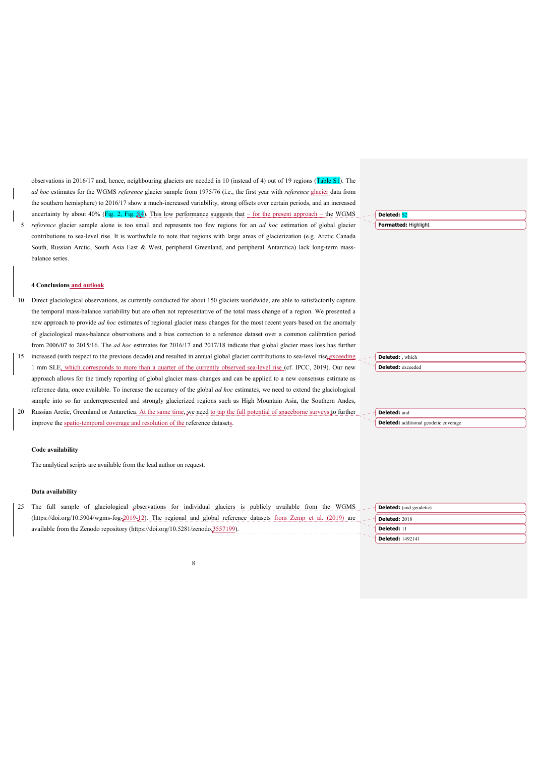observations in 2016/17 and, hence, neighbouring glaciers are needed in 10 (instead of 4) out of 19 regions (Table S1). The *ad hoc* estimates for the WGMS *reference* glacier sample from 1975/76 (i.e., the first year with *reference* glacier data from the southern hemisphere) to 2016/17 show a much-increased variability, strong offsets over certain periods, and an increased uncertainty by about 40% (Fig. 2, Fig.  $\frac{S_4}{10}$ ). This low performance suggests that – for the present approach – the WGMS 5 *reference* glacier sample alone is too small and represents too few regions for an *ad hoc* estimation of global glacier contributions to sea-level rise. It is worthwhile to note that regions with large areas of glacierization (e.g. Arctic Canada South, Russian Arctic, South Asia East & West, peripheral Greenland, and peripheral Antarctica) lack long-term massbalance series.

# **Deleted:** S2

**Deleted:** , which **Deleted:** exceeded

**Deleted:** and

**Deleted:** additional geodetic coverage

## **Formatted:** Highlight

#### **4 Conclusions and outlook**

- 10 Direct glaciological observations, as currently conducted for about 150 glaciers worldwide, are able to satisfactorily capture the temporal mass-balance variability but are often not representative of the total mass change of a region. We presented a new approach to provide *ad hoc* estimates of regional glacier mass changes for the most recent years based on the anomaly of glaciological mass-balance observations and a bias correction to a reference dataset over a common calibration period from 2006/07 to 2015/16. The *ad hoc* estimates for 2016/17 and 2017/18 indicate that global glacier mass loss has further
- 15 increased (with respect to the previous decade) and resulted in annual global glacier contributions to sea-level rise exceeding 1 mm SLE<sub>2</sub> which corresponds to more than a quarter of the currently observed sea-level rise (cf. IPCC, 2019). Our new approach allows for the timely reporting of global glacier mass changes and can be applied to a new consensus estimate as reference data, once available. To increase the accuracy of the global *ad hoc* estimates, we need to extend the glaciological sample into so far underrepresented and strongly glacierized regions such as High Mountain Asia, the Southern Andes,
- 20 Russian Arctic, Greenland or Antarctica. At the same time, we need to tap the full potential of spaceborne surveys to further improve the spatio-temporal coverage and resolution of the reference datasets.

### **Code availability**

The analytical scripts are available from the lead author on request.

#### **Data availability**

25 The full sample of glaciological observations for individual glaciers is publicly available from the WGMS (https://doi.org/10.5904/wgms-fog-2019-12). The regional and global reference datasets from Zemp et al. (2019) are available from the Zenodo repository (https://doi.org/10.5281/zenodo.3557199).

| $-$ <b>Deleted:</b> (and geodetic) |
|------------------------------------|
| <b>Deleted: 2018</b>               |
| Deleted: 11                        |
| <b>Deleted: 1492141</b>            |

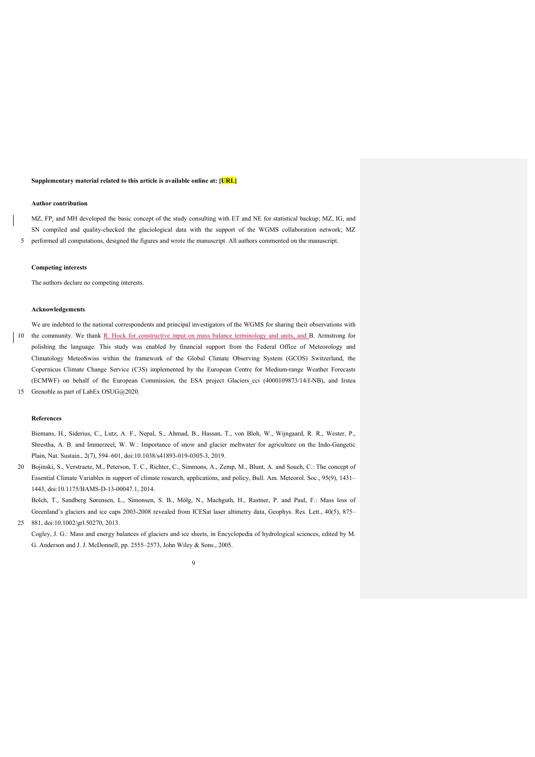#### **Supplementary material related to this article is available online at: [URL]**

#### **Author contribution**

MZ, FP, and MH developed the basic concept of the study consulting with ET and NE for statistical backup; MZ, IG, and SN compiled and quality-checked the glaciological data with the support of the WGMS collaboration network; MZ 5 performed all computations, designed the figures and wrote the manuscript. All authors commented on the manuscript.

#### **Competing interests**

The authors declare no competing interests.

## **Acknowledgements**

We are indebted to the national correspondents and principal investigators of the WGMS for sharing their observations with 10 the community. We thank R. Hock for constructive input on mass balance terminology and units, and B. Armstrong for polishing the language. This study was enabled by financial support from the Federal Office of Meteorology and Climatology MeteoSwiss within the framework of the Global Climate Observing System (GCOS) Switzerland, the Copernicus Climate Change Service (C3S) implemented by the European Centre for Medium-range Weather Forecasts (ECMWF) on behalf of the European Commission, the ESA project Glaciers\_cci (4000109873/14/I-NB), and Irstea 15 Grenoble as part of LabEx OSUG@2020.

#### **References**

Biemans, H., Siderius, C., Lutz, A. F., Nepal, S., Ahmad, B., Hassan, T., von Bloh, W., Wijngaard, R. R., Wester, P., Shrestha, A. B. and Immerzeel, W. W.: Importance of snow and glacier meltwater for agriculture on the Indo-Gangetic Plain, Nat. Sustain., 2(7), 594–601, doi:10.1038/s41893-019-0305-3, 2019.

20 Bojinski, S., Verstraete, M., Peterson, T. C., Richter, C., Simmons, A., Zemp, M., Blunt, A. and Souch, C.: The concept of Essential Climate Variables in support of climate research, applications, and policy, Bull. Am. Meteorol. Soc., 95(9), 1431– 1443, doi:10.1175/BAMS-D-13-00047.1, 2014.

Bolch, T., Sandberg Sørensen, L., Simonsen, S. B., Mölg, N., Machguth, H., Rastner, P. and Paul, F.: Mass loss of Greenland's glaciers and ice caps 2003-2008 revealed from ICESat laser altimetry data, Geophys. Res. Lett., 40(5), 875– 25 881, doi:10.1002/grl.50270, 2013.

Cogley, J. G.: Mass and energy balances of glaciers and ice sheets, in Encyclopedia of hydrological sciences, edited by M. G. Anderson and J. J. McDonnell, pp. 2555–2573, John Wiley & Sons., 2005.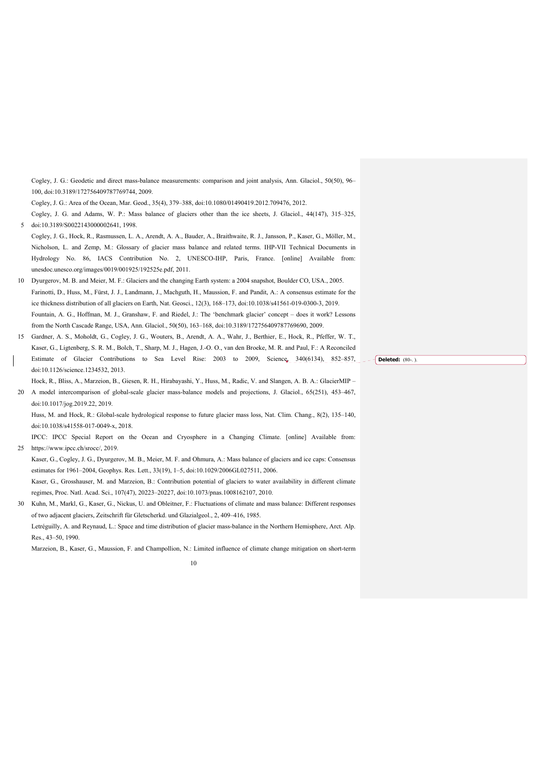Cogley, J. G.: Geodetic and direct mass-balance measurements: comparison and joint analysis, Ann. Glaciol., 50(50), 96– 100, doi:10.3189/172756409787769744, 2009.

Cogley, J. G.: Area of the Ocean, Mar. Geod., 35(4), 379–388, doi:10.1080/01490419.2012.709476, 2012.

Cogley, J. G. and Adams, W. P.: Mass balance of glaciers other than the ice sheets, J. Glaciol., 44(147), 315–325, 5 doi:10.3189/S0022143000002641, 1998.

Cogley, J. G., Hock, R., Rasmussen, L. A., Arendt, A. A., Bauder, A., Braithwaite, R. J., Jansson, P., Kaser, G., Möller, M., Nicholson, L. and Zemp, M.: Glossary of glacier mass balance and related terms. IHP-VII Technical Documents in Hydrology No. 86, IACS Contribution No. 2, UNESCO-IHP, Paris, France. [online] Available from: unesdoc.unesco.org/images/0019/001925/192525e.pdf, 2011.

10 Dyurgerov, M. B. and Meier, M. F.: Glaciers and the changing Earth system: a 2004 snapshot, Boulder CO, USA., 2005. Farinotti, D., Huss, M., Fürst, J. J., Landmann, J., Machguth, H., Maussion, F. and Pandit, A.: A consensus estimate for the ice thickness distribution of all glaciers on Earth, Nat. Geosci., 12(3), 168–173, doi:10.1038/s41561-019-0300-3, 2019. Fountain, A. G., Hoffman, M. J., Granshaw, F. and Riedel, J.: The 'benchmark glacier' concept – does it work? Lessons from the North Cascade Range, USA, Ann. Glaciol., 50(50), 163–168, doi:10.3189/172756409787769690, 2009.

15 Gardner, A. S., Moholdt, G., Cogley, J. G., Wouters, B., Arendt, A. A., Wahr, J., Berthier, E., Hock, R., Pfeffer, W. T., Kaser, G., Ligtenberg, S. R. M., Bolch, T., Sharp, M. J., Hagen, J.-O. O., van den Broeke, M. R. and Paul, F.: A Reconciled Estimate of Glacier Contributions to Sea Level Rise: 2003 to 2009, Science, 340(6134), 852–857, - - **Deleted:** (80-.) doi:10.1126/science.1234532, 2013.

Hock, R., Bliss, A., Marzeion, B., Giesen, R. H., Hirabayashi, Y., Huss, M., Radic, V. and Slangen, A. B. A.: GlacierMIP – 20 A model intercomparison of global-scale glacier mass-balance models and projections, J. Glaciol., 65(251), 453–467,

doi:10.1017/jog.2019.22, 2019.

Huss, M. and Hock, R.: Global-scale hydrological response to future glacier mass loss, Nat. Clim. Chang., 8(2), 135–140, doi:10.1038/s41558-017-0049-x, 2018.

IPCC: IPCC Special Report on the Ocean and Cryosphere in a Changing Climate. [online] Available from: 25 https://www.ipcc.ch/srocc/, 2019.

Kaser, G., Cogley, J. G., Dyurgerov, M. B., Meier, M. F. and Ohmura, A.: Mass balance of glaciers and ice caps: Consensus estimates for 1961–2004, Geophys. Res. Lett., 33(19), 1–5, doi:10.1029/2006GL027511, 2006.

Kaser, G., Grosshauser, M. and Marzeion, B.: Contribution potential of glaciers to water availability in different climate regimes, Proc. Natl. Acad. Sci., 107(47), 20223–20227, doi:10.1073/pnas.1008162107, 2010.

30 Kuhn, M., Markl, G., Kaser, G., Nickus, U. and Obleitner, F.: Fluctuations of climate and mass balance: Different responses of two adjacent glaciers, Zeitschrift für Gletscherkd. und Glazialgeol., 2, 409–416, 1985.

Letréguilly, A. and Reynaud, L.: Space and time distribution of glacier mass-balance in the Northern Hemisphere, Arct. Alp. Res., 43–50, 1990.

Marzeion, B., Kaser, G., Maussion, F. and Champollion, N.: Limited influence of climate change mitigation on short-term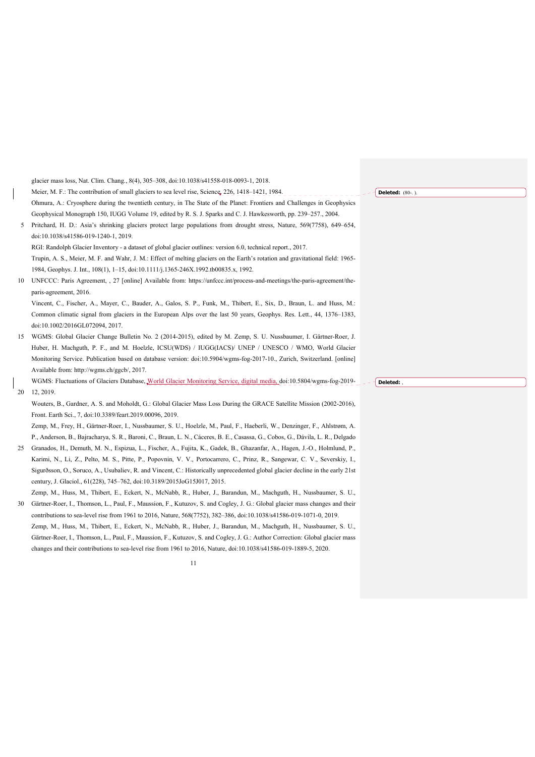|    | glacier mass loss, Nat. Clim. Chang., 8(4), 305–308, doi:10.1038/s41558-018-0093-1, 2018.                                      |                         |
|----|--------------------------------------------------------------------------------------------------------------------------------|-------------------------|
|    | Meier, M. F.: The contribution of small glaciers to sea level rise, Science, 226, 1418–1421, 1984.                             | <b>Deleted:</b> (80-.). |
|    | Ohmura, A.: Cryosphere during the twentieth century, in The State of the Planet: Frontiers and Challenges in Geophysics        |                         |
|    | Geophysical Monograph 150, IUGG Volume 19, edited by R. S. J. Sparks and C. J. Hawkesworth, pp. 239–257., 2004.                |                         |
|    | 5 Pritchard, H. D.: Asia's shrinking glaciers protect large populations from drought stress, Nature, 569(7758), 649–654,       |                         |
|    | doi:10.1038/s41586-019-1240-1, 2019.                                                                                           |                         |
|    | RGI: Randolph Glacier Inventory - a dataset of global glacier outlines: version 6.0, technical report., 2017.                  |                         |
|    | Trupin, A. S., Meier, M. F. and Wahr, J. M.: Effect of melting glaciers on the Earth's rotation and gravitational field: 1965- |                         |
|    | 1984, Geophys. J. Int., 108(1), 1–15, doi:10.1111/j.1365-246X.1992.tb00835.x, 1992.                                            |                         |
| 10 | UNFCCC: Paris Agreement, , 27 [online] Available from: https://unfccc.int/process-and-meetings/the-paris-agreement/the-        |                         |
|    | paris-agreement, 2016.                                                                                                         |                         |
|    | Vincent, C., Fischer, A., Mayer, C., Bauder, A., Galos, S. P., Funk, M., Thibert, E., Six, D., Braun, L. and Huss, M.:         |                         |
|    | Common climatic signal from glaciers in the European Alps over the last 50 years, Geophys. Res. Lett., 44, 1376–1383,          |                         |
|    | doi:10.1002/2016GL072094, 2017.                                                                                                |                         |
| 15 | WGMS: Global Glacier Change Bulletin No. 2 (2014-2015), edited by M. Zemp, S. U. Nussbaumer, I. Gärtner-Roer, J.               |                         |
|    | Huber, H. Machguth, P. F., and M. Hoelzle, ICSU(WDS) / IUGG(IACS)/ UNEP / UNESCO / WMO, World Glacier                          |                         |
|    | Monitoring Service. Publication based on database version: doi:10.5904/wgms-fog-2017-10., Zurich, Switzerland. [online]        |                         |
|    | Available from: http://wgms.ch/ggcb/, 2017.                                                                                    |                         |
|    | WGMS: Fluctuations of Glaciers Database, World Glacier Monitoring Service, digital media, doi:10.5804/wgms-fog-2019-           | Deleted:                |
| 20 | 12, 2019.                                                                                                                      |                         |
|    | Wouters, B., Gardner, A. S. and Moholdt, G.: Global Glacier Mass Loss During the GRACE Satellite Mission (2002-2016),          |                         |
|    | Front. Earth Sci., 7, doi:10.3389/feart.2019.00096, 2019.                                                                      |                         |
|    | Zemp, M., Frey, H., Gärtner-Roer, I., Nussbaumer, S. U., Hoelzle, M., Paul, F., Haeberli, W., Denzinger, F., Ahlstrøm, A.      |                         |
|    | P., Anderson, B., Bajracharya, S. R., Baroni, C., Braun, L. N., Cáceres, B. E., Casassa, G., Cobos, G., Dávila, L. R., Delgado |                         |
| 25 | Granados, H., Demuth, M. N., Espizua, L., Fischer, A., Fujita, K., Gadek, B., Ghazanfar, A., Hagen, J.-O., Holmlund, P.,       |                         |
|    | Karimi, N., Li, Z., Pelto, M. S., Pitte, P., Popovnin, V. V., Portocarrero, C., Prinz, R., Sangewar, C. V., Severskiy, I.,     |                         |
|    | Sigurðsson, O., Soruco, A., Usubaliev, R. and Vincent, C.: Historically unprecedented global glacier decline in the early 21st |                         |
|    | century, J. Glaciol., 61(228), 745-762, doi:10.3189/2015JoG15J017, 2015.                                                       |                         |
|    | Zemp, M., Huss, M., Thibert, E., Eckert, N., McNabb, R., Huber, J., Barandun, M., Machguth, H., Nussbaumer, S. U.,             |                         |
| 30 | Gärtner-Roer, I., Thomson, L., Paul, F., Maussion, F., Kutuzov, S. and Cogley, J. G.: Global glacier mass changes and their    |                         |
|    | contributions to sea-level rise from 1961 to 2016, Nature, 568(7752), 382-386, doi:10.1038/s41586-019-1071-0, 2019.            |                         |

Zemp, M., Huss, M., Thibert, E., Eckert, N., McNabb, R., Huber, J., Barandun, M., Machguth, H., Nussbaumer, S. U., Gärtner-Roer, I., Thomson, L., Paul, F., Maussion, F., Kutuzov, S. and Cogley, J. G.: Author Correction: Global glacier mass changes and their contributions to sea-level rise from 1961 to 2016, Nature, doi:10.1038/s41586-019-1889-5, 2020.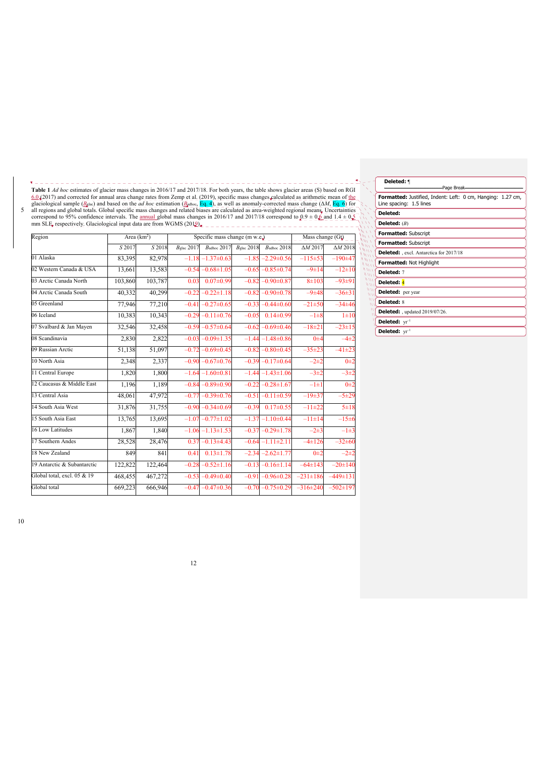$\mathbb{L} = \mathbb{L} = \mathbb{L} \xrightarrow{\mathbb{R}} \mathbb{C}$  $\Sigma = -1$ <u> 22222222</u> **Table 1** *Ad hoc* estimates of glacier mass changes in 2016/17 and 2017/18. For both years, the table shows glacier areas (S) based on RGI <u>6.0 (2017)</u> and corrected for annual area change rates from Zemp et al. (2019),

 $\begin{array}{cccccccccccccc} \bot & \bot & \bot & \bot & \bot & \bot & \bot \end{array}$ 

 $= -1$ 

| Region                      | Area $(km2)$ |         | Specific mass change (m w.e.) $\angle$ $\angle$ $\angle$ $\angle$ $\angle$ $\angle$ $\angle$ |                                                |         |                         | Mass change $(G_{\bigcup}$ __ |                 |  |
|-----------------------------|--------------|---------|----------------------------------------------------------------------------------------------|------------------------------------------------|---------|-------------------------|-------------------------------|-----------------|--|
|                             | S 2017       | S 2018  | $B_{\rm{glac}} 2017$                                                                         | $B_{\text{adhoc}} 2017$ $B_{\text{glac}} 2018$ |         | $B_{\text{adhoc}} 2018$ | $\Delta M 2017$               | $\Delta M 2018$ |  |
| 01 Alaska                   | 83.395       | 82,978  | $-1.18$                                                                                      | $-1.37\pm0.63$                                 |         | $-1.85 - 2.29 \pm 0.56$ | $-115+53$                     | $-190+47$       |  |
| 02 Western Canada & USA     | 13,661       | 13,583  |                                                                                              | $-0.54 - 0.68 \pm 1.05$                        |         | $-0.65 - 0.85 \pm 0.74$ | $-9\pm14$                     | $-12\pm 10$     |  |
| 03 Arctic Canada North      | 103,860      | 103,787 | 0.03                                                                                         | $0.07 \pm 0.99$                                |         | $-0.82 - 0.90 \pm 0.87$ | $8 + 103$                     | $-93±91$        |  |
| 04 Arctic Canada South      | 40,332       | 40,299  |                                                                                              | $-0.22 - 0.22 \pm 1.18$                        |         | $-0.82 - 0.90 \pm 0.78$ | $-9+48$                       | $-36\pm31$      |  |
| 05 Greenland                | 77,946       | 77,210  |                                                                                              | $-0.41 - 0.27 \pm 0.65$                        |         | $-0.33 - 0.44 \pm 0.60$ | $-21\pm50$                    | $-34\pm 46$     |  |
| 06 Iceland                  | 10,383       | 10,343  |                                                                                              | $-0.29 - 0.11 \pm 0.76$                        | $-0.05$ | $0.14 \pm 0.99$         | $-1\pm8$                      | $1\pm10$        |  |
| 07 Svalbard & Jan Mayen     | 32,546       | 32,458  |                                                                                              | $-0.59 - 0.57 \pm 0.64$                        |         | $-0.62 - 0.69 \pm 0.46$ | $-18\pm 21$                   | $-23\pm 15$     |  |
| 08 Scandinavia              | 2,830        | 2,822   |                                                                                              | $-0.03 - 0.09 \pm 1.35$                        |         | $-1.44 - 1.48 \pm 0.86$ | $0\pm 4$                      | $-4\pm 2$       |  |
| 09 Russian Arctic           | 51,138       | 51,097  |                                                                                              | $-0.72 - 0.69 \pm 0.45$                        |         | $-0.82 - 0.80 \pm 0.45$ | $-35\pm 23$                   | $-41\pm 23$     |  |
| 10 North Asia               | 2,348        | 2,337   |                                                                                              | $-0.90 - 0.67 \pm 0.76$                        |         | $-0.39 - 0.17 \pm 0.64$ | $-2+2$                        | $0\pm 2$        |  |
| 11 Central Europe           | 1,820        | 1,800   |                                                                                              | $-1.64 - 1.60 \pm 0.81$                        |         | $-1.44 - 1.43 \pm 1.06$ | $-3\pm 2$                     | $-3\pm2$        |  |
| 12 Caucasus & Middle East   | 1,196        | 1,189   |                                                                                              | $-0.84 - 0.89 \pm 0.90$                        |         | $-0.22 - 0.28 \pm 1.67$ | $-1\pm1$                      | $0\pm 2$        |  |
| 13 Central Asia             | 48,061       | 47,972  |                                                                                              | $-0.77 - 0.39 \pm 0.76$                        |         | $-0.51 - 0.11 \pm 0.59$ | $-19+37$                      | $-5±29$         |  |
| 14 South Asia West          | 31,876       | 31,755  |                                                                                              | $-0.90 - 0.34 \pm 0.69$                        | $-0.39$ | $0.17 \pm 0.55$         | $-11\pm 22$                   | $5 + 18$        |  |
| 15 South Asia East          | 13,765       | 13,695  |                                                                                              | $-1.07 - 0.77 \pm 1.02$                        |         | $-1.37 - 1.10 \pm 0.44$ | $-11 \pm 14$                  | $-15±6$         |  |
| 16 Low Latitudes            | 1,867        | 1,840   |                                                                                              | $-1.06 - 1.13 \pm 1.53$                        |         | $-0.37 - 0.29 \pm 1.78$ | $-2\pm 3$                     | $-1\pm 3$       |  |
| 17 Southern Andes           | 28,528       | 28,476  |                                                                                              | $0.37 - 0.13 \pm 4.43$                         |         | $-0.64 -1.11 \pm 2.11$  | $-4\pm 126$                   | $-32\pm 60$     |  |
| 18 New Zealand              | 849          | 841     | 0.41                                                                                         | $0.13 \pm 1.78$                                |         | $-2.34 - 2.62 \pm 1.77$ | $0\pm 2$                      | $-2+2$          |  |
| 19 Antarctic & Subantarctic | 122,822      | 122,464 |                                                                                              | $-0.28 - 0.52 \pm 1.16$                        |         | $-0.13 - 0.16 \pm 1.14$ | $-64\pm143$                   | $-20 \pm 140$   |  |
| Global total, excl. 05 & 19 | 468,455      | 467,272 |                                                                                              | $-0.53 - 0.49 \pm 0.40$                        |         | $-0.91 - 0.96 \pm 0.28$ | $-231 \pm 186$                | $-449 \pm 131$  |  |
| Global total                | 669,223      | 666,946 |                                                                                              | $-0.47 - 0.47 \pm 0.36$                        |         | $-0.70 - 0.75 \pm 0.29$ | $-316\pm 240$                 | $-502 \pm 197$  |  |

|                         | Deleted: 1                                                                             |
|-------------------------|----------------------------------------------------------------------------------------|
|                         | Page Break-                                                                            |
|                         | Formatted: Justified, Indent: Left: 0 cm, Hanging: 1.27 cm,<br>Line spacing: 1.5 lines |
|                         | Deleted:                                                                               |
|                         | Deleted: $(B)$                                                                         |
|                         | <b>Formatted: Subscript</b>                                                            |
|                         | <b>Formatted: Subscript</b>                                                            |
| $\mu_{NN}$<br>$\mu$     | <b>Deleted:</b> , excl. Antarctica for 2017/18                                         |
| $\mu_{\mu\nu}$<br>11111 | Formatted: Not Highlight                                                               |
| WU<br>$\mu$             | Deleted: 7                                                                             |
| m<br>$\mu$              | Deleted: 4                                                                             |
| $\frac{1}{2}$<br>W      | <b>Deleted:</b> per year                                                               |
| u١<br>W١                | <b>Deleted: 8</b>                                                                      |
|                         | <b>Deleted:</b> , updated 2019/07/26.                                                  |
|                         | Deleted: $yr^{-1}$                                                                     |
|                         | Deleted: yr <sup>-1</sup>                                                              |

10

<u>. . . . . . . . . . .</u>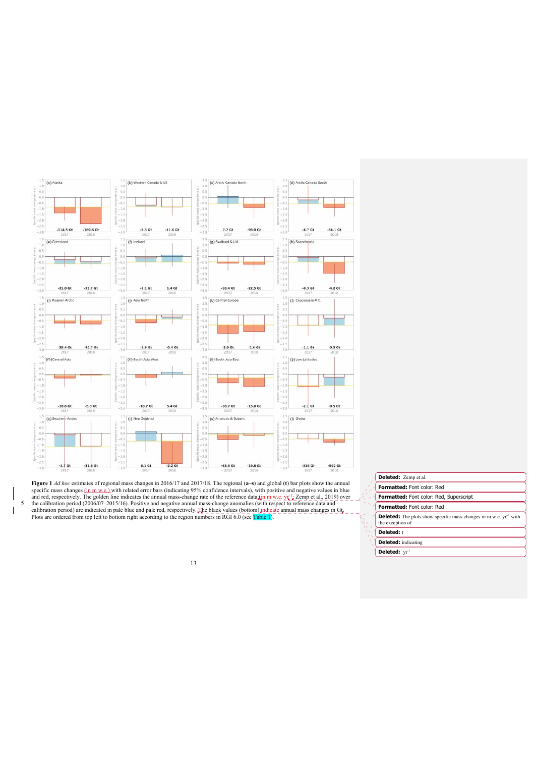

**Figure 1** *Ad hoc* estimates of regional mass changes in 2016/17 and 2017/18. The regional (a-s) and global (t) bar plots show the annual specific mass changes (in m w.e.) with related error bars (indicating 95% confiden

| Deleted: Zemp et al.                                                                                     |
|----------------------------------------------------------------------------------------------------------|
| <b>Formatted:</b> Font color: Red                                                                        |
| Formatted: Font color: Red, Superscript                                                                  |
| Formatted: Font color: Red                                                                               |
| <b>Deleted:</b> The plots show specific mass changes in m w.e. yr <sup>-1</sup> with<br>the exception of |
| Deleted: t                                                                                               |
| <b>Deleted:</b> indicating                                                                               |
| Deleted: yr <sup>1</sup>                                                                                 |
|                                                                                                          |

13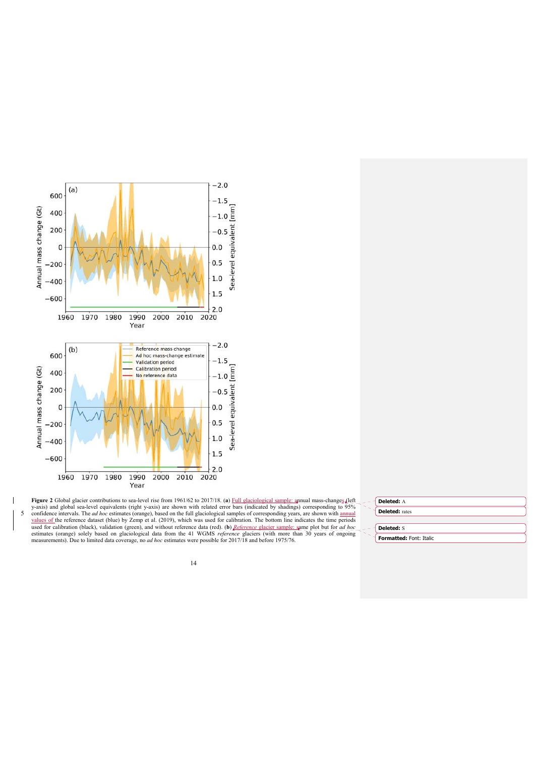

Figure 2 Global glacier contributions to sea-level rise from 1961/62 to 2017/18. (a) Full glaciological sample: annual mass-changes (left<br>y-axis) and global sea-level equivalents (right y-axis) are shown with related error 5 confidence intervals. The *ad hoc* estimates (orange), based on the full glaciological samples of corresponding years, are shown with <u>annual values of</u> the reference dataset (blue) by Zemp et al. (2019), which was used

| Deleted: A                     |
|--------------------------------|
| <b>Deleted:</b> rates          |
|                                |
| <b>Deleted: S</b>              |
| <b>Formatted: Font: Italic</b> |

14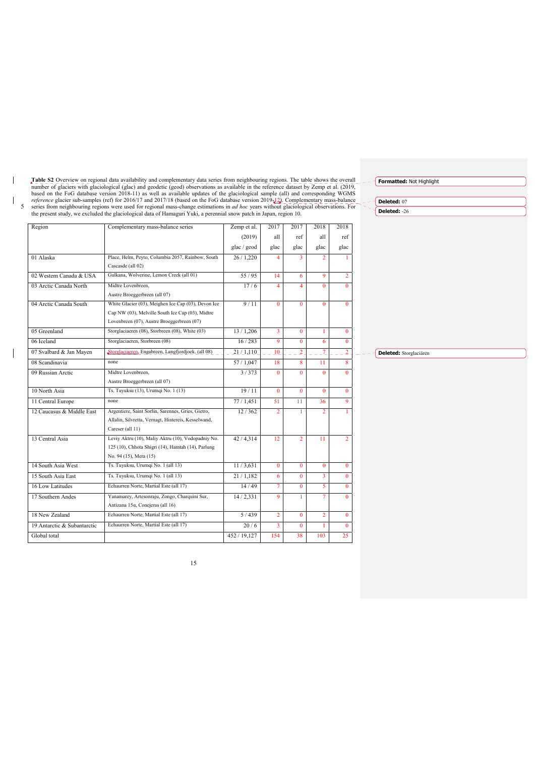Table S2 Overview on regional data availability and complementary data series from neighbouring regions. The table shows the overall number of glaciers with glaciological (glac) and geodetic (geod) observations as availab

 $\overline{\phantom{a}}$ 

 $\mathbb T$ 

 $\overline{\phantom{a}}$ 

| Region                      | Complementary mass-balance series                   | Zemp et al.  | 2017           | 2017           | 2018           | 2018           |
|-----------------------------|-----------------------------------------------------|--------------|----------------|----------------|----------------|----------------|
|                             |                                                     | (2019)       | all            | ref            | all            | ref            |
|                             |                                                     | glac / geod  | glac           | glac           | glac           | glac           |
| 01 Alaska                   | Place, Helm, Peyto, Columbia 2057, Rainbow, South   | 26/1,220     | $\overline{4}$ | 3              | $\mathcal{P}$  |                |
|                             | Cascasde (all 02)                                   |              |                |                |                |                |
| 02 Western Canada & USA     | Gulkana, Wolverine, Lemon Creek (all 01)            | 55/95        | 14             | 6              | 9              | $\overline{2}$ |
| 03 Arctic Canada North      | Midtre Lovenbreen.                                  | 17/6         | $\overline{4}$ | $\overline{4}$ | $\Omega$       | $\Omega$       |
|                             | Austre Broeggerbreen (all 07)                       |              |                |                |                |                |
| 04 Arctic Canada South      | White Glacier (03), Meighen Ice Cap (03), Devon Ice | 9/11         | $\mathbf{0}$   | $\Omega$       | $\Omega$       | $\Omega$       |
|                             | Cap NW (03), Melville South Ice Cap (03), Midtre    |              |                |                |                |                |
|                             | Lovenbreen (07), Austre Broeggerbreen (07)          |              |                |                |                |                |
| 05 Greenland                | Storglaciaeren (08), Storbreen (08), White (03)     | 13/1,206     | 3              | $\Omega$       | $\mathbf{1}$   | $\Omega$       |
| 06 Iceland                  | Storglaciaeren, Storbreen (08)                      | 16/283       | 9              | $\Omega$       | 6              | $\mathbf{0}$   |
| 07 Svalbard & Jan Mayen     | Storglaciaeren, Engabreen, Langfjordjoek. (all 08)  | 21/1,110     | 10             | $\overline{2}$ | 7              | $\overline{2}$ |
| 08 Scandinavia              | none                                                | 57/1,047     | 18             | 8              | 11             | 8              |
| 09 Russian Arctic           | Midtre Lovenbreen.                                  | 3/373        | $\mathbf{0}$   | $\mathbf{0}$   | $\Omega$       | 0              |
|                             | Austre Broeggerbreen (all 07)                       |              |                |                |                |                |
| 10 North Asia               | Ts. Tuyuksu (13), Urumqi No. 1 (13)                 | 19/11        | $\Omega$       | $\mathbf{0}$   | $\mathbf{0}$   | $\mathbf{0}$   |
| 11 Central Europe           | none                                                | 77/1,451     | 51             | 11             | 36             | 9              |
| 12 Caucasus & Middle East   | Argentiere, Saint Sorlin, Sarennes, Gries, Gietro,  | 12/362       | $\overline{2}$ | $\mathbf{1}$   | $\overline{2}$ |                |
|                             | Allalin, Silvretta, Vernagt, Hintereis, Kesselwand, |              |                |                |                |                |
|                             | Careser (all 11)                                    |              |                |                |                |                |
| 13 Central Asia             | Leviy Aktru (10), Maliy Aktru (10), Vodopadniy No.  | 42/4,314     | 12             | $\overline{2}$ | 11             | $\overline{2}$ |
|                             | 125 (10), Chhota Shigri (14), Hamtah (14), Parlung  |              |                |                |                |                |
|                             | No. 94 (15), Mera (15)                              |              |                |                |                |                |
| 14 South Asia West          | Ts. Tuyuksu, Urumqi No. 1 (all 13)                  | 11/3,631     | $\Omega$       | $\mathbf{0}$   | $\mathbf{0}$   | $\mathbf{0}$   |
| 15 South Asia East          | Ts. Tuyuksu, Urumqi No. 1 (all 13)                  | 21/1.182     | 6              | $\mathbf{0}$   | 3              | $\Omega$       |
| 16 Low Latitudes            | Echaurren Norte, Martial Este (all 17)              | 14/49        | 7              | $\mathbf{0}$   | 5              | $\Omega$       |
| 17 Southern Andes           | Yanamarey, Artesonraju, Zongo, Charquini Sur,       | 14/2,331     | $\mathbf Q$    | 1              | 7              | $\Omega$       |
|                             | Antizana 15α, Conejeras (all 16)                    |              |                |                |                |                |
| 18 New Zealand              | Echaurren Norte, Martial Este (all 17)              | 5/439        | $\overline{2}$ | $\mathbf{0}$   | $\overline{2}$ | $\Omega$       |
| 19 Antarctic & Subantarctic | Echaurren Norte, Martial Este (all 17)              | 20/6         | $\overline{3}$ | $\mathbf{0}$   | 1              | $\Omega$       |
| Global total                |                                                     | 452 / 19,127 | 154            | 38             | 103            | 25             |

**Formatted:** Not Highlight

**Deleted:** 07

**Deleted:** -26

**Deleted:** Storglaciären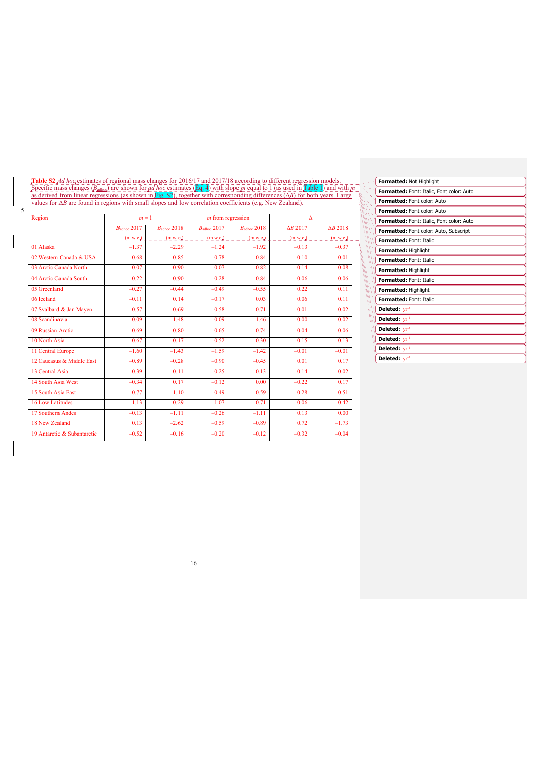**Table S2** *Ad hoc* estimates of regional mass changes for 2016/17 and 2017/18 according to different regression models. Specific mass changes (*B*adhoc) are shown for *ad hoc* estimates (Eq. 4) with slope *m* equal to 1 (as used in Table 1) and with *m* as derived from linear regressions (as shown in Fig. S2), together with corresponding differences (Δ*B*) for both years. Large values for Δ*B* are found in regions with small slopes and low correlation coefficients (e.g. New Zealand).

5

| Region                      | $m = 1$                 |                         | $m$ from regression     |                         | $\Lambda$       |                 |  |
|-----------------------------|-------------------------|-------------------------|-------------------------|-------------------------|-----------------|-----------------|--|
|                             | $B_{\text{adhoc}} 2017$ | $B_{\text{adhoc}} 2018$ | $B_{\text{adhoc}} 2017$ | $B_{\text{adhoc}} 2018$ | $\Delta B$ 2017 | $\Delta B$ 2018 |  |
|                             | (m w.e.)                | (m w.e.)                | (m w.e.)                | (m w.e.)                | (m w.e.)        | (m w.e.)        |  |
| 01 Alaska                   | $-1.37$                 | $-2.29$                 | $-1.24$                 | $-1.92$                 | $-0.13$         | $-0.37$         |  |
| 02 Western Canada & USA     | $-0.68$                 | $-0.85$                 | $-0.78$                 | $-0.84$                 | 0.10            | $-0.01$         |  |
| 03 Arctic Canada North      | 0.07                    | $-0.90$                 | $-0.07$                 | $-0.82$                 | 0.14            | $-0.08$         |  |
| 04 Arctic Canada South      | $-0.22$                 | $-0.90$                 | $-0.28$                 | $-0.84$                 | 0.06            | $-0.06$         |  |
| 05 Greenland                | $-0.27$                 | $-0.44$                 | $-0.49$                 | $-0.55$                 | 0.22            | 0.11            |  |
| 06 Iceland                  | $-0.11$                 | 0.14                    | $-0.17$                 | 0.03                    | 0.06            | 0.11            |  |
| 07 Svalbard & Jan Mayen     | $-0.57$                 | $-0.69$                 | $-0.58$                 | $-0.71$                 | 0.01            | 0.02            |  |
| 08 Scandinavia              | $-0.09$                 | $-1.48$                 | $-0.09$                 | $-1.46$                 | 0.00            | $-0.02$         |  |
| 09 Russian Arctic           | $-0.69$                 | $-0.80$                 | $-0.65$                 | $-0.74$                 | $-0.04$         | $-0.06$         |  |
| 10 North Asia               | $-0.67$                 | $-0.17$                 | $-0.52$                 | $-0.30$                 | $-0.15$         | 0.13            |  |
| 11 Central Europe           | $-1.60$                 | $-1.43$                 | $-1.59$                 | $-1.42$                 | $-0.01$         | $-0.01$         |  |
| 12 Caucasus & Middle East   | $-0.89$                 | $-0.28$                 | $-0.90$                 | $-0.45$                 | 0.01            | 0.17            |  |
| 13 Central Asia             | $-0.39$                 | $-0.11$                 | $-0.25$                 | $-0.13$                 | $-0.14$         | 0.02            |  |
| 14 South Asia West          | $-0.34$                 | 0.17                    | $-0.12$                 | 0.00                    | $-0.22$         | 0.17            |  |
| 15 South Asia East          | $-0.77$                 | $-1.10$                 | $-0.49$                 | $-0.59$                 | $-0.28$         | $-0.51$         |  |
| <b>16 Low Latitudes</b>     | $-1.13$                 | $-0.29$                 | $-1.07$                 | $-0.71$                 | $-0.06$         | 0.42            |  |
| 17 Southern Andes           | $-0.13$                 | $-1.11$                 | $-0.26$                 | $-1.11$                 | 0.13            | 0.00            |  |
| 18 New Zealand              | 0.13                    | $-2.62$                 | $-0.59$                 | $-0.89$                 | 0.72            | $-1.73$         |  |
| 19 Antarctic & Subantarctic | $-0.52$                 | $-0.16$                 | $-0.20$                 | $-0.12$                 | $-0.32$         | $-0.04$         |  |

|                                            | Formatted: Not Highlight                         |
|--------------------------------------------|--------------------------------------------------|
| Š                                          | <b>Formatted:</b> Font: Italic, Font color: Auto |
| a.<br>Ŵ                                    | Formatted: Font color: Auto                      |
|                                            | Formatted: Font color: Auto                      |
| WO V<br>$\eta_{UV}$                        | Formatted: Font: Italic, Font color: Auto        |
| $\mu_{\mu\nu}$<br>$\mu$                    | Formatted: Font color: Auto, Subscript           |
| m <sup>q</sup><br>$\mu$                    | Formatted: Font: Italic                          |
| WИ.<br>$\mu$                               | Formatted: Highlight                             |
| $N_{11}$<br>Â,<br>h<br>WO.                 | <b>Formatted: Font: Italic</b>                   |
| <b>Vo</b><br>$\mathbf{M}$<br><b>MARTIN</b> | Formatted: Highlight                             |
| WILL 11<br>МW                              | Formatted: Font: Italic                          |
| WW 1<br>MILL A                             | <b>Formatted: Highlight</b>                      |
| $\mu$<br>ww                                | Formatted: Font: Italic                          |
| Wи.<br>WИ                                  | Deleted: $yr^{-1}$                               |
| M١<br>١W                                   | Deleted: $yr^{-1}$                               |
| ш<br>w                                     | Deleted: $yr^{-1}$                               |
| ١١                                         | Deleted: $yr^{-1}$                               |
|                                            | Deleted: $yr^{-1}$                               |
|                                            | Deleted: $yr^{-1}$                               |
|                                            |                                                  |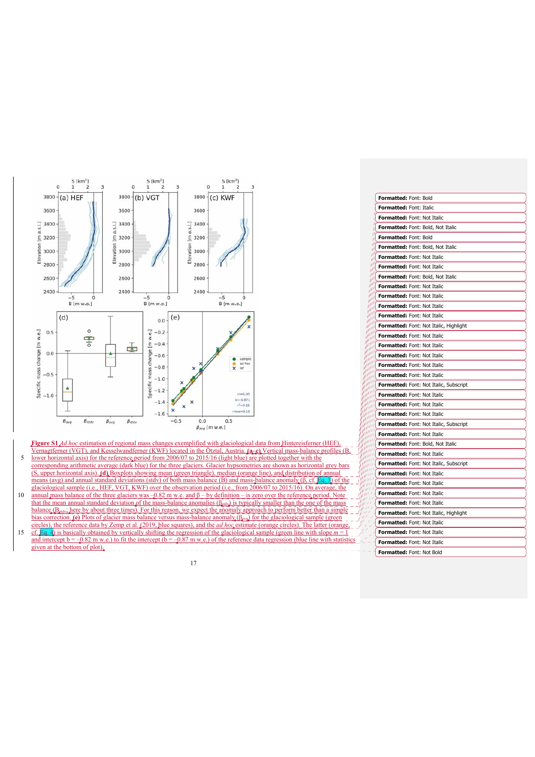

**Figure S1** *Ad hoc* estimation of regional mass changes exemplified with glaciological data from Hintereisferner (HEF), Vernagtferner (VGT), and Kesselwandferner (KWF) located in the Ötztal, Austria. **(a–c)** Vertical mass-bal

- 5 lower horizontal axis) for the reference period from 2006/07 to 2015/16 (light blue) corresponding arithmetic average (dark blue) for the three glaciers. Gla (S, upper horizontal axis). **(d)** Boxplots showing mean (green triangle), median (orange line), and distribution of annual means (avg) and annual standard deviations (stdv) of both mass balance (B) and mass-balance anomaly ( $\beta$ ) glaciological sample (i.e., HEF, VGT, KWF) over the observation period (i.e., from  $2006/07$  to  $2015/16$ ).
- 10 annual mass balance of the three glaciers was  $-0.82$  m w.e. and β by definition is zero over the reference period. Note that the mean annual standard deviation of the mass-balance anomalies ( $\beta_{\text{std}}$ ) is typically smaller than the one of the mass balance  $(B_{\text{staty}})$  here by about three times). For this reason, we expect the anomaly approach to perform better than a simple bias correction. **(e)** Plots of glacier mass balance versus mass-balance anomaly (β<sub>ανα</sub>) for the glaciological sample (green) circles), the reference data by Zemp et al. (2019, blue squares), and the *ad hoc* estimate (orange circles). The latter (orange,
- 15 cf. **Eq. 4**) is basically obtained by vertically shifting the regression of the glaciological sample (green line with slope and intercept  $\overline{b} = -0.82$  m w.e.) to given at the bottom of plot).

| 전 사<br>i |  |
|----------|--|
|          |  |

|                                                    | Formatted: Font: Bold                         |
|----------------------------------------------------|-----------------------------------------------|
|                                                    | Formatted: Font: Italic                       |
|                                                    | <b>Formatted: Font: Not Italic</b>            |
| лN                                                 | <b>Formatted:</b> Font: Bold, Not Italic      |
| ηW                                                 | <b>Formatted: Font: Bold</b>                  |
| all<br>أألور                                       | Formatted: Font: Bold, Not Italic             |
| البر<br>all                                        | Formatted: Font: Not Italic                   |
| pl<br>m                                            | Formatted: Font: Not Italic                   |
| all<br><b>And</b>                                  | Formatted: Font: Bold, Not Italic             |
| ann<br><b>ANITE</b>                                | Formatted: Font: Not Italic                   |
| <b>Antill</b><br><b>ANITE</b>                      | <b>Formatted: Font: Not Italic</b>            |
| <b>SHALL</b><br><b>ABRILLE</b>                     | <b>Formatted:</b> Font: Not Italic            |
| <b>SANNI</b><br><b>SOUTH</b>                       | <b>Formatted:</b> Font: Not Italic            |
| <b>SOUL</b><br><b>CALINAI</b>                      | Formatted: Font: Not Italic, Highlight        |
| <b>Connun</b><br><b>College III</b>                | Formatted: Font: Not Italic                   |
| <b>College</b><br><b>SANALLE AND REAL PROPERTY</b> | Formatted: Font: Not Italic                   |
| <b>SURFERE</b><br><b>CANNIS</b>                    | <b>Formatted:</b> Font: Not Italic            |
| <b>CAMPLES</b><br><b>TANITA</b>                    | Formatted: Font: Not Italic                   |
| <b>CAMPLES</b><br><b>Contain</b>                   | <b>Formatted:</b> Font: Not Italic            |
| <b>Contain</b><br><b>CALLES</b>                    | <b>Formatted:</b> Font: Not Italic, Subscript |
| al III I<br>a ili I                                | <b>Formatted:</b> Font: Not Italic            |
| y jil I<br>ull!!!                                  | <b>Formatted: Font: Not Italic</b>            |
| a al III<br><b>A MILLE</b>                         | <b>Formatted: Font: Not Italic</b>            |
| a utili i<br><b>COMMUNITY</b>                      | Formatted: Font: Not Italic, Subscript        |
| <b>MILLE</b><br>ø#                                 | Formatted: Font: Not Italic                   |
| a port                                             | Formatted: Font: Bold, Not Italic             |
|                                                    | <b>Formatted: Font: Not Italic</b>            |
|                                                    | Formatted: Font: Not Italic, Subscript        |
| <b>IF All</b>                                      | <b>Formatted: Font: Not Italic</b>            |
| i <sup>ø 111</sup>                                 | <b>Formatted: Font: Not Italic</b>            |
| $e^{\mu t}$<br>$\theta^{y(t)}$                     | Formatted: Font: Not Italic                   |
| g jir r<br>yI1I<br>$f$ <sup>11</sup>               | <b>Formatted: Font: Not Italic</b>            |
| 1<br>-11<br>$^{\mu}$                               | <b>Formatted:</b> Font: Not Italic, Highlight |
|                                                    | Formatted: Font: Not Italic                   |
|                                                    | <b>Formatted:</b> Font: Not Italic            |
|                                                    | <b>Formatted:</b> Font: Not Italic            |
|                                                    | <b>Formatted: Font: Not Bold</b>              |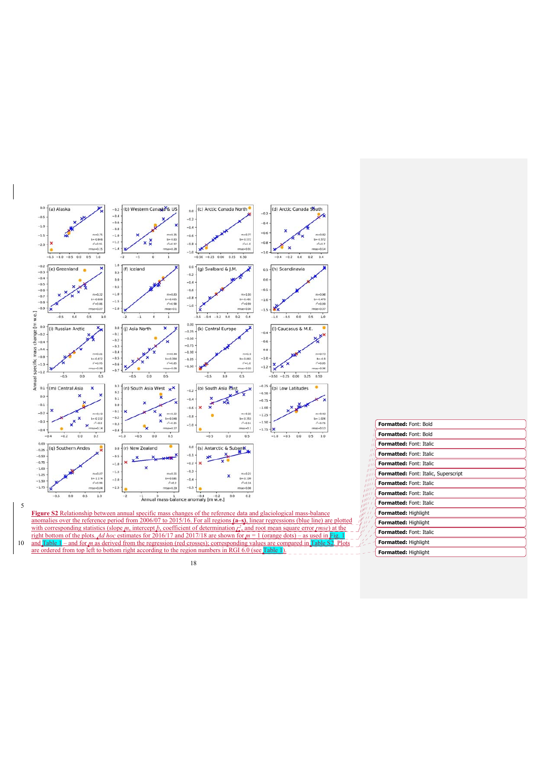

|                              | <b>Formatted: Font: Bold</b>         |  |  |
|------------------------------|--------------------------------------|--|--|
|                              | <b>Formatted: Font: Bold</b>         |  |  |
| H                            | <b>Formatted: Font: Italic</b>       |  |  |
| $\overline{1}$<br>πı         | <b>Formatted: Font: Italic</b>       |  |  |
| пI<br>                       | <b>Formatted: Font: Italic</b>       |  |  |
| $\mu$ H<br>$\mu$ $\mu$       | Formatted: Font: Italic, Superscript |  |  |
|                              | Formatted: Font: Italic              |  |  |
| uni<br>                      | <b>Formatted: Font: Italic</b>       |  |  |
| 11 I I<br>yT                 | <b>Formatted: Font: Italic</b>       |  |  |
| 11 T T<br>777                | Formatted: Highlight                 |  |  |
| $^{\prime\prime}$<br>u i     | Formatted: Highlight                 |  |  |
| Formatted: Font: Italic<br>Î |                                      |  |  |
|                              | Formatted: Highlight                 |  |  |
|                              | Formatted: Highlight                 |  |  |
|                              |                                      |  |  |

anomalies over the reference period from 2006/07 to 2015/16. For all regions  $(a-s)$ , linear regressions (blue line) are plotted<br>with corresponding statistics (slope m, intercept h, coefficient of determination  $r_s^2$ , and right bottom of the plots. *Ad hoc* estimates for 2016/17 and 2017/18 are shown for *m* = 1 (orange dots) – as used in Fig. 1 10 and Table 1 – and for *m* as derived from the regression (red crosses); corresponding values are compared in Table S2. Plots are ordered from top left to bottom right according to the region numbers in RGI 6.0 (see Table 1).

5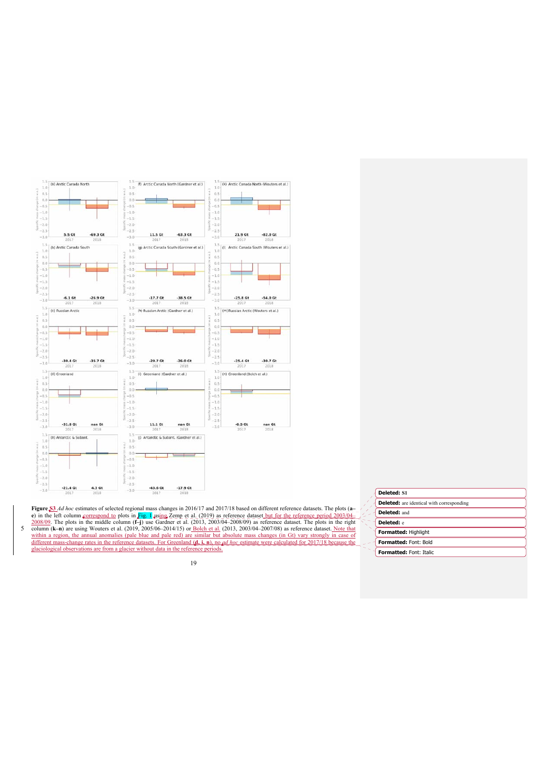

Figure \$3.4d hoc estimates of selected regional mass changes in 2016/17 and 2017/18 based on different reference datasets. The plots (a-e) in the left column correspond to plots in Fig. 1 using Zemp et al. (2019) as refer different mass-change rates in the reference datasets. For Greenland (**d, i, n**), no *ad hoc* estimate were calculated for 2017/18 because the glaciological observations are from a glacier without data in the reference periods.

|                     | <b>Deleted:</b> are identical with corresponding |
|---------------------|--------------------------------------------------|
| <b>Deleted: and</b> |                                                  |
|                     |                                                  |

**Deleted: S1** 

**Formatted:** Highlight **Deleted:** e **Formatted:** Font: Bold **Formatted:** Font: Italic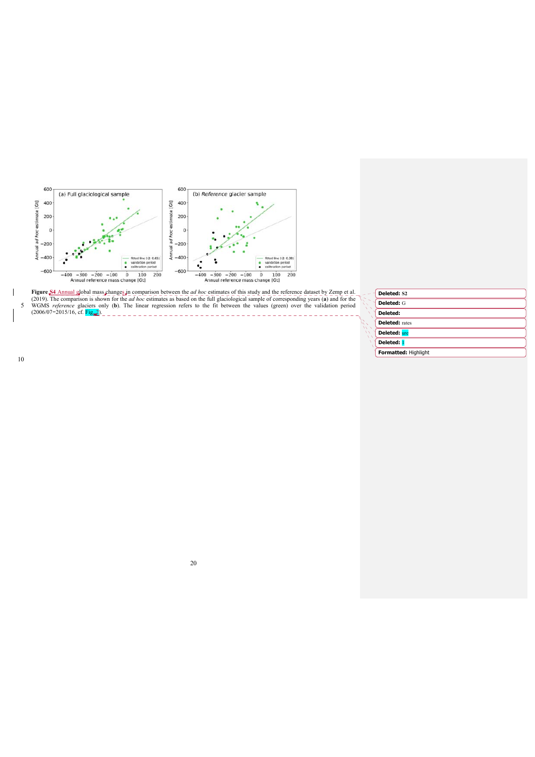

**Figure \$4 Annual global mass changes in comparison between the** *ad hoc* **estimates of this study and the reference dataset by Zemp et al. (2019). The comparison is shown for the** *ad hoc* **estimates as based on the full gla** سمبر<br>سر

| <b>Deleted: S2</b> |
|--------------------|
|                    |

| Peleteu, 34           |
|-----------------------|
| Deleted: G            |
| Deleted:              |
| <b>Deleted:</b> rates |
| <b>Deleted: ure</b>   |
| Deleted: 1            |
| Formatted: Highlight  |

 $\overline{\phantom{a}}$